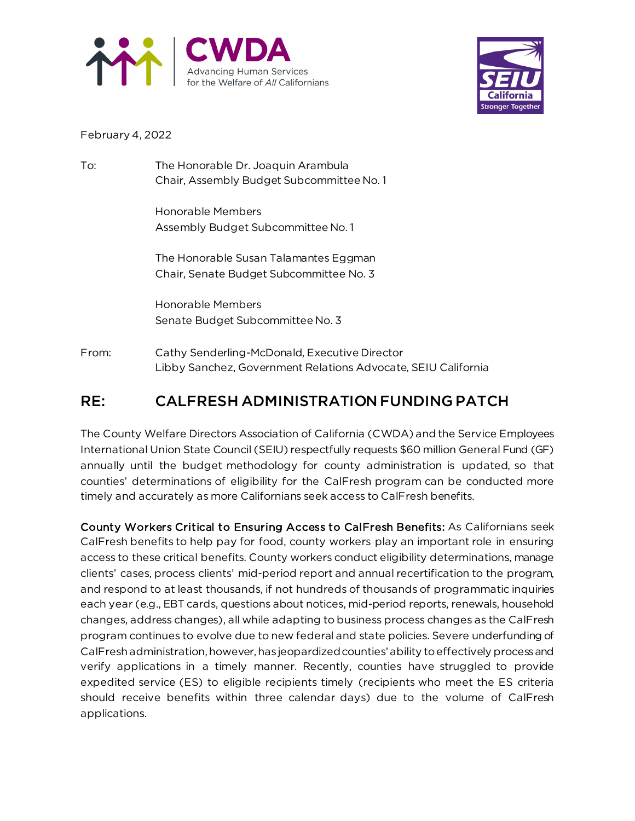



## February 4, 2022

To: The Honorable Dr. Joaquin Arambula Chair, Assembly Budget Subcommittee No. 1

> Honorable Members Assembly Budget Subcommittee No. 1

The Honorable Susan Talamantes Eggman Chair, Senate Budget Subcommittee No. 3

Honorable Members Senate Budget Subcommittee No. 3

From: Cathy Senderling-McDonald, Executive Director Libby Sanchez, Government Relations Advocate, SEIU California

## RE: CALFRESH ADMINISTRATION FUNDING PATCH

The County Welfare Directors Association of California (CWDA) and the Service Employees International Union State Council (SEIU) respectfully requests \$60 million General Fund (GF) annually until the budget methodology for county administration is updated, so that counties' determinations of eligibility for the CalFresh program can be conducted more timely and accurately as more Californians seek access to CalFresh benefits.

County Workers Critical to Ensuring Access to CalFresh Benefits: As Californians seek CalFresh benefits to help pay for food, county workers play an important role in ensuring access to these critical benefits. County workers conduct eligibility determinations, manage clients' cases, process clients' mid-period report and annual recertification to the program, and respond to at least thousands, if not hundreds of thousands of programmatic inquiries each year (e.g., EBT cards, questions about notices, mid-period reports, renewals, household changes, address changes), all while adapting to business process changes as the CalFresh program continues to evolve due to new federal and state policies. Severe underfunding of CalFresh administration, however, has jeopardized counties' ability to effectively process and verify applications in a timely manner. Recently, counties have struggled to provide expedited service (ES) to eligible recipients timely (recipients who meet the ES criteria should receive benefits within three calendar days) due to the volume of CalFresh applications.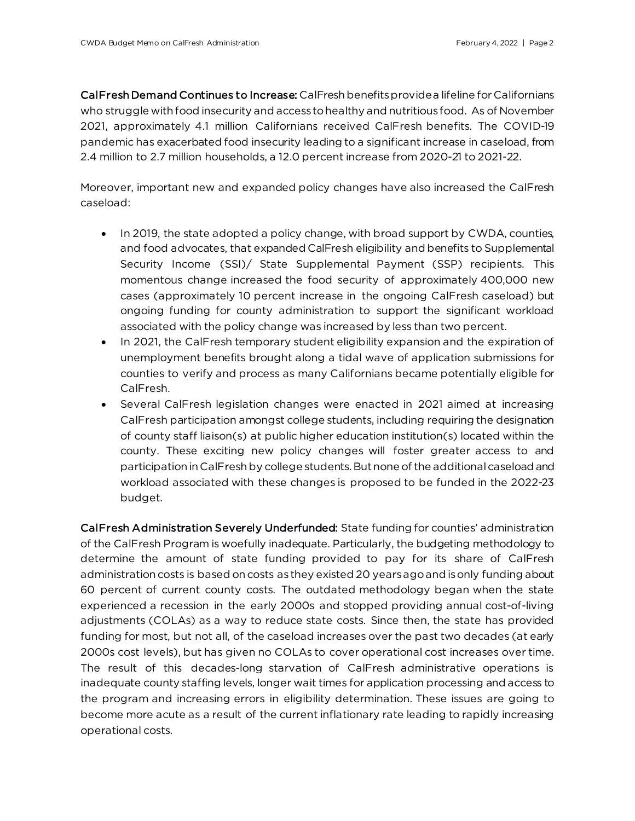CalFresh Demand Continues to Increase: CalFresh benefits provide a lifeline for Californians who struggle with food insecurity and access to healthy and nutritious food. As of November 2021, approximately 4.1 million Californians received CalFresh benefits. The COVID-19 pandemic has exacerbated food insecurity leading to a significant increase in caseload, from 2.4 million to 2.7 million households, a 12.0 percent increase from 2020-21 to 2021-22.

Moreover, important new and expanded policy changes have also increased the CalFresh caseload:

- In 2019, the state adopted a policy change, with broad support by CWDA, counties, and food advocates, that expanded CalFresh eligibility and benefits to Supplemental Security Income (SSI)/ State Supplemental Payment (SSP) recipients. This momentous change increased the food security of approximately 400,000 new cases (approximately 10 percent increase in the ongoing CalFresh caseload) but ongoing funding for county administration to support the significant workload associated with the policy change was increased by less than two percent.
- In 2021, the CalFresh temporary student eligibility expansion and the expiration of unemployment benefits brought along a tidal wave of application submissions for counties to verify and process as many Californians became potentially eligible for CalFresh.
- Several CalFresh legislation changes were enacted in 2021 aimed at increasing CalFresh participation amongst college students, including requiring the designation of county staff liaison(s) at public higher education institution(s) located within the county. These exciting new policy changes will foster greater access to and participation in CalFresh by college students. But none of the additional caseload and workload associated with these changes is proposed to be funded in the 2022-23 budget.

CalFresh Administration Severely Underfunded: State funding for counties' administration of the CalFresh Program is woefully inadequate. Particularly, the budgeting methodology to determine the amount of state funding provided to pay for its share of CalFresh administration costs is based on costs as they existed 20 years ago and is only funding about 60 percent of current county costs. The outdated methodology began when the state experienced a recession in the early 2000s and stopped providing annual cost-of-living adjustments (COLAs) as a way to reduce state costs. Since then, the state has provided funding for most, but not all, of the caseload increases over the past two decades (at early 2000s cost levels), but has given no COLAs to cover operational cost increases over time. The result of this decades-long starvation of CalFresh administrative operations is inadequate county staffing levels, longer wait times for application processing and access to the program and increasing errors in eligibility determination. These issues are going to become more acute as a result of the current inflationary rate leading to rapidly increasing operational costs.